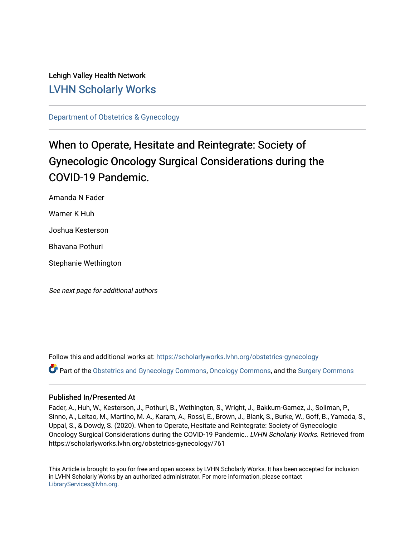# Lehigh Valley Health Network [LVHN Scholarly Works](https://scholarlyworks.lvhn.org/)

[Department of Obstetrics & Gynecology](https://scholarlyworks.lvhn.org/obstetrics-gynecology) 

# When to Operate, Hesitate and Reintegrate: Society of Gynecologic Oncology Surgical Considerations during the COVID-19 Pandemic.

Amanda N Fader Warner K Huh Joshua Kesterson Bhavana Pothuri Stephanie Wethington

See next page for additional authors

Follow this and additional works at: [https://scholarlyworks.lvhn.org/obstetrics-gynecology](https://scholarlyworks.lvhn.org/obstetrics-gynecology?utm_source=scholarlyworks.lvhn.org%2Fobstetrics-gynecology%2F761&utm_medium=PDF&utm_campaign=PDFCoverPages)

Part of the [Obstetrics and Gynecology Commons,](https://network.bepress.com/hgg/discipline/693?utm_source=scholarlyworks.lvhn.org%2Fobstetrics-gynecology%2F761&utm_medium=PDF&utm_campaign=PDFCoverPages) [Oncology Commons,](https://network.bepress.com/hgg/discipline/694?utm_source=scholarlyworks.lvhn.org%2Fobstetrics-gynecology%2F761&utm_medium=PDF&utm_campaign=PDFCoverPages) and the [Surgery Commons](https://network.bepress.com/hgg/discipline/706?utm_source=scholarlyworks.lvhn.org%2Fobstetrics-gynecology%2F761&utm_medium=PDF&utm_campaign=PDFCoverPages)

# Published In/Presented At

Fader, A., Huh, W., Kesterson, J., Pothuri, B., Wethington, S., Wright, J., Bakkum-Gamez, J., Soliman, P., Sinno, A., Leitao, M., Martino, M. A., Karam, A., Rossi, E., Brown, J., Blank, S., Burke, W., Goff, B., Yamada, S., Uppal, S., & Dowdy, S. (2020). When to Operate, Hesitate and Reintegrate: Society of Gynecologic Oncology Surgical Considerations during the COVID-19 Pandemic.. LVHN Scholarly Works. Retrieved from https://scholarlyworks.lvhn.org/obstetrics-gynecology/761

This Article is brought to you for free and open access by LVHN Scholarly Works. It has been accepted for inclusion in LVHN Scholarly Works by an authorized administrator. For more information, please contact [LibraryServices@lvhn.org](mailto:LibraryServices@lvhn.org).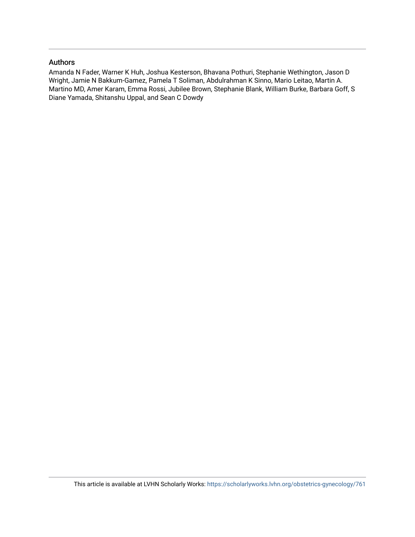# Authors

Amanda N Fader, Warner K Huh, Joshua Kesterson, Bhavana Pothuri, Stephanie Wethington, Jason D Wright, Jamie N Bakkum-Gamez, Pamela T Soliman, Abdulrahman K Sinno, Mario Leitao, Martin A. Martino MD, Amer Karam, Emma Rossi, Jubilee Brown, Stephanie Blank, William Burke, Barbara Goff, S Diane Yamada, Shitanshu Uppal, and Sean C Dowdy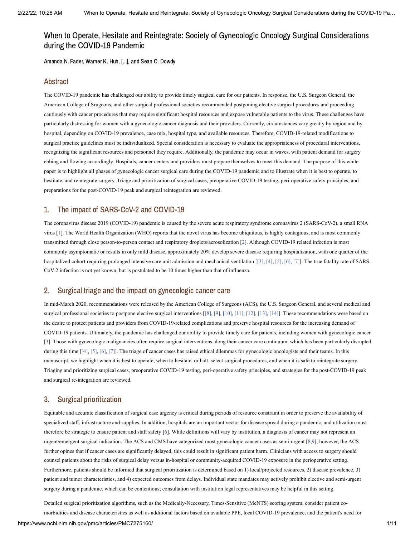Amanda N. Fader, Warner K. Huh, [...], and Sean C. Dowdy

### Abstract

The COVID-19 pandemic has challenged our ability to provide timely surgical care for our patients. In response, the U.S. Surgeon General, the American College of Srugeons, and other surgical professional societies recommended postponing elective surgical procedures and proceeding cautiously with cancer procedures that may require significant hospital resources and expose vulnerable patients to the virus. These challenges have particularly distressing for women with a gynecologic cancer diagnosis and their providers. Currently, circumstances vary greatly by region and by hospital, depending on COVID-19 prevalence, case mix, hospital type, and available resources. Therefore, COVID-19-related modifications to surgical practice guidelines must be individualized. Special consideration is necessary to evaluate the appropriateness of procedural interventions, recognizing the significant resources and personnel they require. Additionally, the pandemic may occur in waves, with patient demand for surgery ebbing and flowing accordingly. Hospitals, cancer centers and providers must prepare themselves to meet this demand. The purpose of this white paper is to highlight all phases of gynecologic cancer surgical care during the COVID-19 pandemic and to illustrate when it is best to operate, to hestitate, and reintegrate surgery. Triage and prioritization of surgical cases, preoperative COVID-19 testing, peri-operative safety principles, and preparations for the post-COVID-19 peak and surgical reintegration are reviewed.

# 1. The impact of SARS-CoV-2 and COVID-19

The coronavirus disease 2019 (COVID-19) pandemic is caused by the severe acute respiratory syndrome coronavirus 2 (SARS-CoV-2), a small RNA virus [[1\]](#page-9-0). The World Health Organization (WHO) reports that the novel virus has become ubiquitous, is highly contagious, and is most commonly transmitted through close person-to-person contact and respiratory droplets/aerosolization [[2](#page-9-1)]. Although COVID-19 related infection is most commonly asymptomatic or results in only mild disease, approximately 20% develop severe disease requiring hospitalization, with one quarter of the hospitalized cohort requiring prolonged intensive care unit admission and mechanical ventilation [\[\[3\],](#page-9-2) [\[4\]](#page-9-3), [\[5\]](#page-9-4), [\[6\],](#page-9-5) [\[7\]](#page-9-6)]. The true fatality rate of SARS-CoV-2 infection is not yet known, but is postulated to be 10 times higher than that of influenza.

# 2. Surgical triage and the impact on gynecologic cancer care

In mid-March 2020, recommendations were released by the American College of Surgeons (ACS), the U.S. Surgeon General, and several medical and surgical professional societies to postpone elective surgical interventions [\[\[8\],](#page-9-7) [\[9\],](#page-9-8) [\[10\]](#page-9-9), [\[11\]](#page-9-10), [\[12\]](#page-9-11), [\[13\],](#page-9-12) [\[14\]\]](#page-10-0). These recommendations were based on the desire to protect patients and providers from COVID-19-related complications and preserve hospital resources for the increasing demand of COVID-19 patients. Ultimately, the pandemic has challenged our ability to provide timely care for patients, including women with gynecologic cancer [[3\]](#page-9-2). Those with gynecologic malignancies often require surgical interventions along their cancer care continuum, which has been particularly disrupted during this time  $[[4], [5], [6], [7]]$  $[[4], [5], [6], [7]]$  $[[4], [5], [6], [7]]$  $[[4], [5], [6], [7]]$  $[[4], [5], [6], [7]]$  $[[4], [5], [6], [7]]$  $[[4], [5], [6], [7]]$  $[[4], [5], [6], [7]]$ . The triage of cancer cases has raised ethical dilemmas for gynecologic oncologists and their teams. In this manuscript, we highlight when it is best to operate, when to hesitate–or halt–select surgical procedures, and when it is safe to reintegrate surgery. Triaging and prioritizing surgical cases, preoperative COVID-19 testing, peri-operative safety principles, and strategies for the post-COVID-19 peak and surgical re-integration are reviewed.

# 3. Surgical prioritization

Equitable and accurate classification of surgical case urgency is critical during periods of resource constraint in order to preserve the availability of specialized staff, infrastructure and supplies. In addition, hospitals are an important vector for disease spread during a pandemic, and utilization must therefore be strategic to ensure patient and staff safety [[6](#page-9-5)]. While definitions will vary by institution, a diagnosis of cancer may not represent an urgent/emergent surgical indication. The ACS and CMS have categorized most gynecologic cancer cases as semi-urgent [\[8](#page-9-7)[,9](#page-9-8)]; however, the ACS further opines that if cancer cases are significantly delayed, this could result in significant patient harm. Clinicians with access to surgery should counsel patients about the risks of surgical delay versus in-hospital or community-acquired COVID-19 exposure in the perioperative setting. Furthermore, patients should be informed that surgical prioritization is determined based on 1) local/projected resources, 2) disease prevalence, 3) patient and tumor characteristics, and 4) expected outcomes from delays. Individual state mandates may actively prohibit elective and semi-urgent surgery during a pandemic, which can be contentious; consultation with institution legal representatives may be helpful in this setting.

Detailed surgical prioritization algorithms, such as the Medically-Necessary, Times-Sensitive (MeNTS) scoring system, consider patient comorbidities and disease characteristics as well as additional factors based on available PPE, local COVID-19 prevalence, and the patient's need for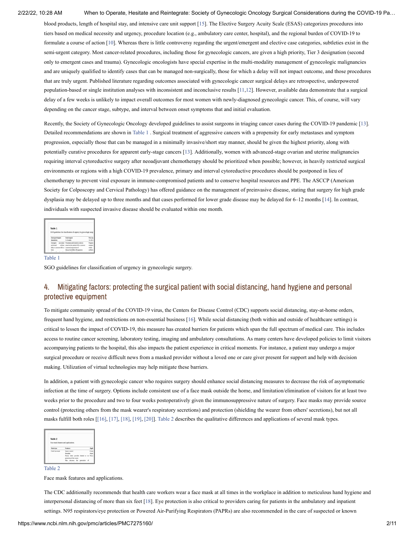blood products, length of hospital stay, and intensive care unit support [[15\]](#page-10-1). The Elective Surgery Acuity Scale (ESAS) categorizes procedures into tiers based on medical necessity and urgency, procedure location (e.g., ambulatory care center, hospital), and the regional burden of COVID-19 to formulate a course of action [[10](#page-9-9)]. Whereas there is little controversy regarding the urgent/emergent and elective case categories, subtleties exist in the semi-urgent category. Most cancer-related procedures, including those for gynecologic cancers, are given a high priority, Tier 3 designation (second only to emergent cases and trauma). Gynecologic oncologists have special expertise in the multi-modality management of gynecologic malignancies and are uniquely qualified to identify cases that can be managed non-surgically, those for which a delay will not impact outcome, and those procedures that are truly urgent. Published literature regarding outcomes associated with gynecologic cancer surgical delays are retrospective, underpowered population-based or single institution analyses with inconsistent and inconclusive results [\[11,](#page-9-10)[12\]](#page-9-11). However, available data demonstrate that a surgical delay of a few weeks is unlikely to impact overall outcomes for most women with newly-diagnosed gynecologic cancer. This, of course, will vary depending on the cancer stage, subtype, and interval between onset symptoms that and initial evaluation.

Recently, the Society of Gynecologic Oncology developed guidelines to assist surgeons in triaging cancer cases during the COVID-19 pandemic [\[13](#page-9-12)]. Detailed recommendations are shown in [Table](https://www.ncbi.nlm.nih.gov/pmc/articles/PMC7275160/table/t0005/?report=objectonly) 1 . Surgical treatment of aggressive cancers with a propensity for early metastases and symptom progression, especially those that can be managed in a minimally invasive/short stay manner, should be given the highest priority, along with potentially curative procedures for apparent early-stage cancers [[13](#page-9-12)]. Additionally, women with advanced-stage ovarian and uterine malignancies requiring interval cytoreductive surgery after neoadjuvant chemotherapy should be prioritized when possible; however, in heavily restricted surgical environments or regions with a high COVID-19 prevalence, primary and interval cytoreductive procedures should be postponed in lieu of chemotherapy to prevent viral exposure in immune-compromised patients and to conserve hospital resources and PPE. The ASCCP (American Society for Colposcopy and Cervical Pathology) has offered guidance on the management of preinvasive disease, stating that surgery for high grade dysplasia may be delayed up to three months and that cases performed for lower grade disease may be delayed for 6–12 months [\[14](#page-10-0)]. In contrast, individuals with suspected invasive disease should be evaluated within one month.

|                  |                                                   | SGO guidelines for classification of urgency in gynecologic surge |
|------------------|---------------------------------------------------|-------------------------------------------------------------------|
| Emergent'ergent  | Semi-urgent                                       | New art                                                           |
| Immediate        | 1-4 weeks                                         | $+4-12$                                                           |
| <b>Егономие:</b> | procedure Procedure performed in order to         | Progres                                                           |
|                  |                                                   |                                                                   |
| performed        | without preserve the patient's life or prevent    | <b>SYRING</b>                                                     |
|                  | delay to preserve life or expected progression of | widthin                                                           |

#### [Table](https://www.ncbi.nlm.nih.gov/pmc/articles/PMC7275160/table/t0005/?report=objectonly) 1

SGO guidelines for classification of urgency in gynecologic surgery.

# 4. Mitigating factors: protecting the surgical patient with social distancing, hand hygiene and personal protective equipment

To mitigate community spread of the COVID-19 virus, the Centers for Disease Control (CDC) supports social distancing, stay-at-home orders, frequent hand hygiene, and restrictions on non-essential business [\[16\]](#page-10-2). While social distancing (both within and outside of healthcare settings) is critical to lessen the impact of COVID-19, this measure has created barriers for patients which span the full spectrum of medical care. This includes access to routine cancer screening, laboratory testing, imaging and ambulatory consultations. As many centers have developed policies to limit visitors accompanying patients to the hospital, this also impacts the patient experience in critical moments. For instance, a patient may undergo a major surgical procedure or receive difficult news from a masked provider without a loved one or care giver present for support and help with decision making. Utilization of virtual technologies may help mitigate these barriers.

In addition, a patient with gynecologic cancer who requires surgery should enhance social distancing measures to decrease the risk of asymptomatic infection at the time of surgery. Options include consistent use of a face mask outside the home, and limitation/elimination of visitors for at least two weeks prior to the procedure and two to four weeks postoperatively given the immunosuppressive nature of surgery. Face masks may provide source control (protecting others from the mask wearer's respiratory secretions) and protection (shielding the wearer from others' secretions), but not all masks fulfill both roles [[\[16\],](#page-10-2) [\[17\]](#page-10-3), [\[18\],](#page-10-4) [\[19\],](#page-10-5) [\[20\]](#page-10-6)]. [Table](https://www.ncbi.nlm.nih.gov/pmc/articles/PMC7275160/table/t0010/?report=objectonly) 2 describes the qualitative differences and applications of several mask types.

| Mask type<br><b>Features</b>      |              |
|-----------------------------------|--------------|
|                                   |              |
|                                   |              |
| Cloth face mask<br>Source control |              |
| Reachle                           | <b>Agent</b> |

[Table](https://www.ncbi.nlm.nih.gov/pmc/articles/PMC7275160/table/t0010/?report=objectonly) 2

Face mask features and applications.

The CDC additionally recommends that health care workers wear a face mask at all times in the workplace in addition to meticulous hand hygiene and interpersonal distancing of more than six feet [\[18](#page-10-4)]. Eye protection is also critical to providers caring for patients in the ambulatory and inpatient settings. N95 respirators/eye protection or Powered Air-Purifying Respirators (PAPRs) are also recommended in the care of suspected or known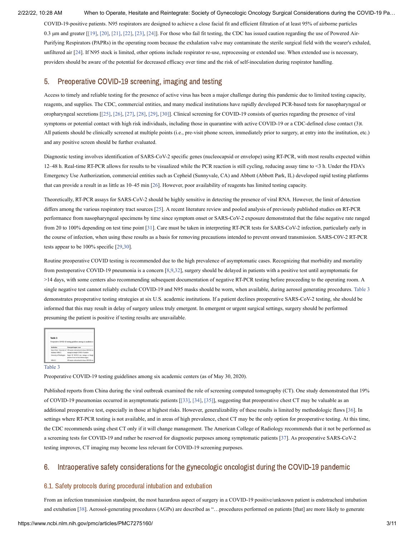COVID-19-positive patients. N95 respirators are designed to achieve a close facial fit and efficient filtration of at least 95% of airborne particles 0.3 μm and greater [[\[19\]](#page-10-5), [\[20\]](#page-10-6), [\[21\],](#page-10-7) [\[22\],](#page-10-8) [\[23\],](#page-10-9) [\[24\]\]](#page-10-10). For those who fail fit testing, the CDC has issued caution regarding the use of Powered Air-Purifying Respirators (PAPRs) in the operating room because the exhalation valve may contaminate the sterile surgical field with the wearer's exhaled, unfiltered air [[24](#page-10-10)]. If N95 stock is limited, other options include respirator re-use, reprocessing or extended use. When extended use is necessary, providers should be aware of the potential for decreased efficacy over time and the risk of self-inoculation during respirator handling.

# 5. Preoperative COVID-19 screening, imaging and testing

Access to timely and reliable testing for the presence of active virus has been a major challenge during this pandemic due to limited testing capacity, reagents, and supplies. The CDC, commercial entities, and many medical institutions have rapidly developed PCR-based tests for nasopharyngeal or oropharyngeal secretions [[\[25\]](#page-10-11), [\[26\]](#page-10-12), [\[27\],](#page-10-13) [\[28\]](#page-10-14), [\[29\]](#page-10-15), [\[30\]\]](#page-10-16). Clinical screening for COVID-19 consists of queries regarding the presence of viral symptoms or potential contact with high risk individuals, including those in quarantine with active COVID-19 or a CDC-defined close contact (3)t. All patients should be clinically screened at multiple points (i.e., pre-visit phone screen, immediately prior to surgery, at entry into the institution, etc.) and any positive screen should be further evaluated.

Diagnostic testing involves identification of SARS-CoV-2 specific genes (nucleocapsid or envelope) using RT-PCR, with most results expected within 12–48 h. Real-time RT-PCR allows for results to be visualized while the PCR reaction is still cycling, reducing assay time to <3 h. Under the FDA's Emergency Use Authorization, commercial entities such as Cepheid (Sunnyvale, CA) and Abbott (Abbott Park, IL) developed rapid testing platforms that can provide a result in as little as 10–45 min [\[26](#page-10-12)]. However, poor availability of reagents has limited testing capacity.

Theoretically, RT-PCR assays for SARS-CoV-2 should be highly sensitive in detecting the presence of viral RNA. However, the limit of detection differs among the various respiratory tract sources [\[25](#page-10-11)]. A recent literature review and pooled analysis of previously published studies on RT-PCR performance from nasopharyngeal specimens by time since symptom onset or SARS-CoV-2 exposure demonstrated that the false negative rate ranged from 20 to 100% depending on test time point [\[31](#page-10-17)]. Care must be taken in interpreting RT-PCR tests for SARS-CoV-2 infection, particularly early in the course of infection, when using these results as a basis for removing precautions intended to prevent onward transmission. SARS-C0V-2 RT-PCR tests appear to be 100% specific [\[29](#page-10-15),[30](#page-10-16)].

Routine preoperative COVID testing is recommended due to the high prevalence of asymptomatic cases. Recognizing that morbidity and mortality from postoperative COVID-19 pneumonia is a concern [[8,](#page-9-7)[9,](#page-9-8)[32\]](#page-10-18), surgery should be delayed in patients with a positive test until asymptomatic for >14 days, with some centers also recommending subsequent documentation of negative RT-PCR testing before proceeding to the operating room. A single negative test cannot reliably exclude COVID-19 and N95 masks should be worn, when available, during aerosol generating procedures. [Table](https://www.ncbi.nlm.nih.gov/pmc/articles/PMC7275160/table/t0015/?report=objectonly) 3 demonstrates preoperative testing strategies at six U.S. academic institutions. If a patient declines preoperative SARS-CoV-2 testing, she should be informed that this may result in delay of surgery unless truly emergent. In emergent or urgent surgical settings, surgery should be performed presuming the patient is positive if testing results are unavailable.

| Table 3<br>Preoperative COVID-19 testing guidelines among six academic c |                                                                                                              |
|--------------------------------------------------------------------------|--------------------------------------------------------------------------------------------------------------|
|                                                                          |                                                                                                              |
| Institution                                                              | <b>Emergent/urgent cases</b>                                                                                 |
| Alahama, MSKCC                                                           | Mayo Clinic, University of NP sample collected and in-house RT-PCR ter<br>manage as though COVID-19 positive |
| University of Washington                                                 | Rapid NP RT-PCR test; manage as<br>positive if test not back before surgery                                  |

#### [Table](https://www.ncbi.nlm.nih.gov/pmc/articles/PMC7275160/table/t0015/?report=objectonly) 3

Preoperative COVID-19 testing guidelines among six academic centers (as of May 30, 2020).

Published reports from China during the viral outbreak examined the role of screening computed tomography (CT). One study demonstrated that 19% of COVID-19 pneumonias occurred in asymptomatic patients [[\[33\]](#page-10-19), [\[34\],](#page-10-20) [\[35\]\]](#page-10-21), suggesting that preoperative chest CT may be valuable as an additional preoperative test, especially in those at highest risks. However, generalizability of these results is limited by methodologic flaws [[36\]](#page-10-22). In settings where RT-PCR testing is not available, and in areas of high prevalence, chest CT may be the only option for preoperative testing. At this time, the CDC recommends using chest CT only if it will change management. The American College of Radiology recommends that it not be performed as a screening tests for COVID-19 and rather be reserved for diagnostic purposes among symptomatic patients [\[37\]](#page-11-0). As preoperative SARS-CoV-2 testing improves, CT imaging may become less relevant for COVID-19 screening purposes.

# 6. Intraoperative safety considerations for the gynecologic oncologist during the COVID-19 pandemic

# 6.1. Safety protocols during procedural intubation and extubation

From an infection transmission standpoint, the most hazardous aspect of surgery in a COVID-19 positive/unknown patient is endotracheal intubation and extubation [[38\]](#page-11-1). Aerosol-generating procedures (AGPs) are described as "…procedures performed on patients [that] are more likely to generate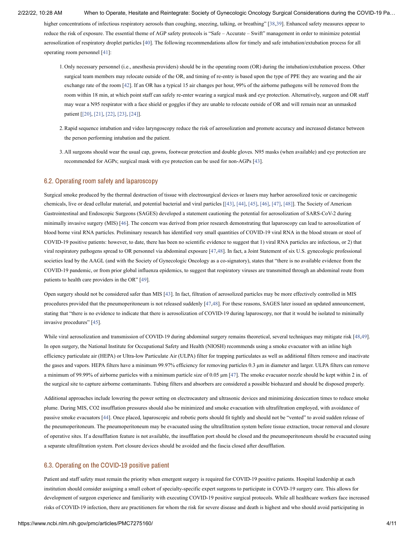higher concentrations of infectious respiratory aerosols than coughing, sneezing, talking, or breathing" [[38,](#page-11-1)[39\]](#page-11-2). Enhanced safety measures appear to reduce the risk of exposure. The essential theme of AGP safety protocols is "Safe – Accurate – Swift" management in order to minimize potential aerosolization of respiratory droplet particles [[40\]](#page-11-3). The following recommendations allow for timely and safe intubation/extubation process for all operating room personnel [[41\]](#page-11-4):

- Only necessary personnel (i.e., anesthesia providers) should be in the operating room (OR) during the intubation/extubation process. Other 1. surgical team members may relocate outside of the OR, and timing of re-entry is based upon the type of PPE they are wearing and the air exchange rate of the room [\[42](#page-11-12)]. If an OR has a typical 15 air changes per hour, 99% of the airborne pathogens will be removed from the room within 18 min, at which point staff can safely re-enter wearing a surgical mask and eye protection. Alternatively, surgeon and OR staff may wear a N95 respirator with a face shield or goggles if they are unable to relocate outside of OR and will remain near an unmasked patient [\[\[20\],](#page-10-6) [\[21\]](#page-10-7), [\[22\]](#page-10-8), [\[23\]](#page-10-9), [\[24\]\]](#page-10-10).
- 2. Rapid sequence intubation and video laryngoscopy reduce the risk of aerosolization and promote accuracy and increased distance between the person performing intubation and the patient.
- All surgeons should wear the usual cap, gowns, footwear protection and double gloves. N95 masks (when available) and eye protection are 3.recommended for AGPs; surgical mask with eye protection can be used for non-AGPs [[43\]](#page-11-5).

### 6.2. Operating room safety and laparoscopy

Surgical smoke produced by the thermal destruction of tissue with electrosurgical devices or lasers may harbor aerosolized toxic or carcinogenic chemicals, live or dead cellular material, and potential bacterial and viral particles [[\[43\],](#page-11-5) [\[44\],](#page-11-6) [\[45\],](#page-11-7) [\[46\]](#page-11-8), [\[47\]](#page-11-9), [\[48\]\]](#page-11-10). The Society of American Gastrointestinal and Endoscopic Surgeons (SAGES) developed a statement cautioning the potential for aerosolization of SARS-CoV-2 during minimally invasive surgery (MIS) [\[46](#page-11-8)]. The concern was derived from prior research demonstrating that laparoscopy can lead to aerosolization of blood borne viral RNA particles. Preliminary research has identified very small quantities of COVID-19 viral RNA in the blood stream or stool of COVID-19 positive patients: however, to date, there has been no scientific evidence to suggest that 1) viral RNA particles are infectious, or 2) that viral respiratory pathogens spread to OR personnel via abdominal exposure [[47,](#page-11-9)[48\]](#page-11-10). In fact, a Joint Statement of six U.S. gynecologic professional societies lead by the AAGL (and with the Society of Gynecologic Oncology as a co-signatory), states that "there is no available evidence from the COVID-19 pandemic, or from prior global influenza epidemics, to suggest that respiratory viruses are transmitted through an abdominal route from patients to health care providers in the OR" [\[49](#page-11-11)].

Open surgery should not be considered safer than MIS [\[43](#page-11-5)]. In fact, filtration of aerosolized particles may be more effectively controlled in MIS procedures provided that the pneumoperitoneum is not released suddenly [[47,](#page-11-9)[48\]](#page-11-10). For these reasons, SAGES later issued an updated announcement, stating that "there is no evidence to indicate that there is aerosolization of COVID-19 during laparoscopy, nor that it would be isolated to minimally invasive procedures" [[45\]](#page-11-7).

While viral aerosolization and transmission of COVID-19 during abdominal surgery remains theoretical, several techniques may mitigate risk [\[48,](#page-11-10)[49](#page-11-11)]. In open surgery, the National Institute for Occupational Safety and Health (NIOSH) recommends using a smoke evacuator with an inline high efficiency particulate air (HEPA) or Ultra-low Particulate Air (ULPA) filter for trapping particulates as well as additional filters remove and inactivate the gases and vapors. HEPA filters have a minimum 99.97% efficiency for removing particles 0.3 μm in diameter and larger. ULPA filters can remove a minimum of 99.99% of airborne particles with a minimum particle size of 0.05 μm [\[47](#page-11-9)]. The smoke evacuator nozzle should be kept within 2 in. of the surgical site to capture airborne contaminants. Tubing filters and absorbers are considered a possible biohazard and should be disposed properly.

Additional approaches include lowering the power setting on electrocautery and ultrasonic devices and minimizing desiccation times to reduce smoke plume. During MIS, CO2 insufflation pressures should also be minimized and smoke evacuation with ultrafiltration employed, with avoidance of passive smoke evacuators [\[44](#page-11-6)]. Once placed, laparoscopic and robotic ports should fit tightly and should not be "vented" to avoid sudden release of the pneumoperitoneum. The pneumoperitoneum may be evacuated using the ultrafiltration system before tissue extraction, trocar removal and closure of operative sites. If a desufflation feature is not available, the insufflation port should be closed and the pneumoperitoneum should be evacuated using a separate ultrafiltration system. Port closure devices should be avoided and the fascia closed after desufflation.

#### 6.3. Operating on the COVID-19 positive patient

Patient and staff safety must remain the priority when emergent surgery is required for COVID-19 positive patients. Hospital leadership at each institution should consider assigning a small cohort of specialty-specific expert surgeons to participate in COVD-19 surgery care. This allows for development of surgeon experience and familiarity with executing COVID-19 positive surgical protocols. While all healthcare workers face increased risks of COVID-19 infection, there are practitioners for whom the risk for severe disease and death is highest and who should avoid participating in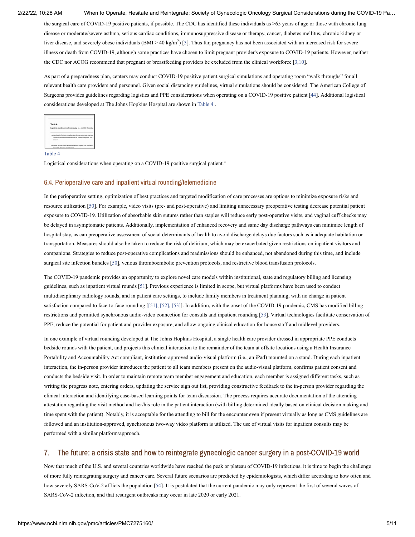the surgical care of COVID-19 positive patients, if possible. The CDC has identified these individuals as >65 years of age or those with chronic lung disease or moderate/severe asthma, serious cardiac conditions, immunosuppressive disease or therapy, cancer, diabetes mellitus, chronic kidney or liver disease, and severely obese individuals  $(BMI > 40 \text{ kg/m}^2)$  [[3\]](#page-9-2). Thus far, pregnancy has not been associated with an increased risk for severe illness or death from COVID-19, although some practices have chosen to limit pregnant provider's exposure to COVID-19 patients. However, neither the CDC nor ACOG recommend that pregnant or breastfeeding providers be excluded from the clinical workforce [[3](#page-9-2),[10\]](#page-9-9).

As part of a preparedness plan, centers may conduct COVID-19 positive patient surgical simulations and operating room "walk throughs" for all relevant health care providers and personnel. Given social distancing guidelines, virtual simulations should be considered. The American College of Surgeons provides guidelines regarding logistics and PPE considerations when operating on a COVID-19 positive patient [[44](#page-11-6)]. Additional logistical considerations developed at The Johns Hopkins Hospital are shown in [Table](https://www.ncbi.nlm.nih.gov/pmc/articles/PMC7275160/table/t0020/?report=objectonly) 4 .

| Table 4    |                                                                                                                                                           |
|------------|-----------------------------------------------------------------------------------------------------------------------------------------------------------|
|            | Logistical considerations when operating on a COVID-19 positive                                                                                           |
| electrons. | · In-transit surgical patients proceeding from the emergency room or an inpa<br>covered to reduce airborne transmission and carefully transported, with 0 |
|            | · A preselected route should be identified without stopping in an anesthetic<br>the CONSTR deficient annualist season                                     |

[Table](https://www.ncbi.nlm.nih.gov/pmc/articles/PMC7275160/table/t0020/?report=objectonly) 4

Logistical considerations when operating on a COVID-19 positive surgical patient.<sup>a</sup>

#### 6.4. Perioperative care and inpatient virtual rounding/telemedicine

In the perioperative setting, optimization of best practices and targeted modification of care processes are options to minimize exposure risks and resource utilization [\[50](#page-11-13)]. For example, video visits (pre- and post-operative) and limiting unnecessary preoperative testing decrease potential patient exposure to COVID-19. Utilization of absorbable skin sutures rather than staples will reduce early post-operative visits, and vaginal cuff checks may be delayed in asymptomatic patients. Additionally, implementation of enhanced recovery and same day discharge pathways can minimize length of hospital stay, as can preoperative assessment of social determinants of health to avoid discharge delays due factors such as inadequate habitation or transportation. Measures should also be taken to reduce the risk of delirium, which may be exacerbated given restrictions on inpatient visitors and companions. Strategies to reduce post-operative complications and readmissions should be enhanced, not abandoned during this time, and include surgical site infection bundles [[50](#page-11-13)], venous thromboembolic prevention protocols, and restrictive blood transfusion protocols.

The COVID-19 pandemic provides an opportunity to explore novel care models within institutional, state and regulatory billing and licensing guidelines, such as inpatient virtual rounds [[51](#page-11-14)]. Previous experience is limited in scope, but virtual platforms have been used to conduct multidisciplinary radiology rounds, and in patient care settings, to include family members in treatment planning, with no change in patient satisfaction compared to face-to-face rounding [[\[51\]](#page-11-14), [\[52\],](#page-11-15) [\[53\]\]](#page-11-16). In addition, with the onset of the COVID-19 pandemic, CMS has modified billing restrictions and permitted synchronous audio-video connection for consults and inpatient rounding [[53\]](#page-11-16). Virtual technologies facilitate conservation of PPE, reduce the potential for patient and provider exposure, and allow ongoing clinical education for house staff and midlevel providers.

In one example of virtual rounding developed at The Johns Hopkins Hospital, a single health care provider dressed in appropriate PPE conducts bedside rounds with the patient, and projects this clinical interaction to the remainder of the team at offsite locations using a Health Insurance Portability and Accountability Act compliant, institution-approved audio-visual platform (i.e., an iPad) mounted on a stand. During each inpatient interaction, the in-person provider introduces the patient to all team members present on the audio-visual platform, confirms patient consent and conducts the bedside visit. In order to maintain remote team member engagement and education, each member is assigned different tasks, such as writing the progress note, entering orders, updating the service sign out list, providing constructive feedback to the in-person provider regarding the clinical interaction and identifying case-based learning points for team discussion. The process requires accurate documentation of the attending attestation regarding the visit method and her/his role in the patient interaction (with billing determined ideally based on clinical decision making and time spent with the patient). Notably, it is acceptable for the attending to bill for the encounter even if present virtually as long as CMS guidelines are followed and an institution-approved, synchronous two-way video platform is utilized. The use of virtual visits for inpatient consults may be performed with a similar platform/approach.

# 7. The future: a crisis state and how to reintegrate gynecologic cancer surgery in a post-COVID-19 world

Now that much of the U.S. and several countries worldwide have reached the peak or plateau of COVID-19 infections, it is time to begin the challenge of more fully reintegrating surgery and cancer care. Several future scenarios are predicted by epidemiologists, which differ according to how often and how severely SARS-CoV-2 afflicts the population [[54\]](#page-11-17). It is postulated that the current pandemic may only represent the first of several waves of SARS-CoV-2 infection, and that resurgent outbreaks may occur in late 2020 or early 2021.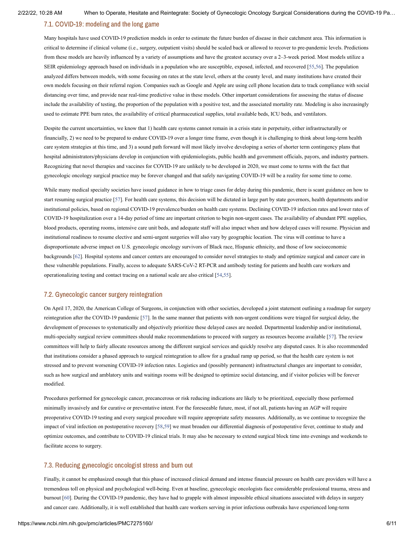# 7.1. COVID-19: modeling and the long game

Many hospitals have used COVID-19 prediction models in order to estimate the future burden of disease in their catchment area. This information is critical to determine if clinical volume (i.e., surgery, outpatient visits) should be scaled back or allowed to recover to pre-pandemic levels. Predictions from these models are heavily influenced by a variety of assumptions and have the greatest accuracy over a 2–3-week period. Most models utilize a SEIR epidemiology approach based on individuals in a population who are susceptible, exposed, infected, and recovered [[55,](#page-11-18)[56\]](#page-11-19). The population analyzed differs between models, with some focusing on rates at the state level, others at the county level, and many institutions have created their own models focusing on their referral region. Companies such as Google and Apple are using cell phone location data to track compliance with social distancing over time, and provide near real-time predictive value in these models. Other important considerations for assessing the status of disease include the availability of testing, the proportion of the population with a positive test, and the associated mortality rate. Modeling is also increasingly used to estimate PPE burn rates, the availability of critical pharmaceutical supplies, total available beds, ICU beds, and ventilators.

Despite the current uncertainties, we know that 1) health care systems cannot remain in a crisis state in perpetuity, either infrastructurally or financially, 2) we need to be prepared to endure COVID-19 over a longer time frame, even though it is challenging to think about long-term health care system strategies at this time, and 3) a sound path forward will most likely involve developing a series of shorter term contingency plans that hospital administrators/physicians develop in conjunction with epidemiologists, public health and government officials, payors, and industry partners. Recognizing that novel therapies and vaccines for COVID-19 are unlikely to be developed in 2020, we must come to terms with the fact that gynecologic oncology surgical practice may be forever changed and that safely navigating COVID-19 will be a reality for some time to come.

While many medical specialty societies have issued guidance in how to triage cases for delay during this pandemic, there is scant guidance on how to start resuming surgical practice [[57\]](#page-12-0). For health care systems, this decision will be dictated in large part by state governors, health departments and/or institutional policies, based on regional COVID-19 prevalence/burden on health care systems. Declining COVID-19 infection rates and lower rates of COVID-19 hospitalization over a 14-day period of time are important criterion to begin non-urgent cases. The availability of abundant PPE supplies, blood products, operating rooms, intensive care unit beds, and adequate staff will also impact when and how delayed cases will resume. Physician and institutional readiness to resume elective and semi-urgent surgeries will also vary by geographic location. The virus will continue to have a disproportionate adverse impact on U.S. gynecologic oncology survivors of Black race, Hispanic ethnicity, and those of low socioeconomic backgrounds [[62](#page-12-1)]. Hospital systems and cancer centers are encouraged to consider novel strategies to study and optimize surgical and cancer care in these vulnerable populations. Finally, access to adequate SARS-CoV-2 RT-PCR and antibody testing for patients and health care workers and operationalizing testing and contact tracing on a national scale are also critical [[54,](#page-11-17)[55\]](#page-11-18).

#### 7.2. Gynecologic cancer surgery reintegration

On April 17, 2020, the American College of Surgeons, in conjunction with other societies, developed a joint statement outlining a roadmap for surgery reintegration after the COVID-19 pandemic [[57\]](#page-12-0). In the same manner that patients with non-urgent conditions were triaged for surgical delay, the development of processes to systematically and objectively prioritize these delayed cases are needed. Departmental leadership and/or institutional, multi-specialty surgical review committees should make recommendations to proceed with surgery as resources become available [[57\]](#page-12-0). The review committees will help to fairly allocate resources among the different surgical services and quickly resolve any disputed cases. It is also recommended that institutions consider a phased approach to surgical reintegration to allow for a gradual ramp up period, so that the health care system is not stressed and to prevent worsening COVID-19 infection rates. Logistics and (possibly permanent) infrastructural changes are important to consider, such as how surgical and amblatory units and waitings rooms will be designed to optimize social distancing, and if visitor policies will be forever modified.

Procedures performed for gynecologic cancer, precancerous or risk reducing indications are likely to be prioritized, especially those performed minimally invasively and for curative or preventative intent. For the foreseeable future, most, if not all, patients having an AGP will require preoperative COVID-19 testing and every surgical procedure will require appropriate safety measures. Additionally, as we continue to recognize the impact of viral infection on postoperative recovery [\[58](#page-12-2)[,59](#page-12-3)] we must broaden our differential diagnosis of postoperative fever, continue to study and optimize outcomes, and contribute to COVID-19 clinical trials. It may also be necessary to extend surgical block time into evenings and weekends to facilitate access to surgery.

#### 7.3. Reducing gynecologic oncologist stress and burn out

Finally, it cannot be emphasized enough that this phase of increased clinical demand and intense financial pressure on health care providers will have a tremendous toll on physical and psychological well-being. Even at baseline, gynecologic oncologists face considerable professional trauma, stress and burnout [\[60](#page-12-4)]. During the COVID-19 pandemic, they have had to grapple with almost impossible ethical situations associated with delays in surgery and cancer care. Additionally, it is well established that health care workers serving in prior infectious outbreaks have experienced long-term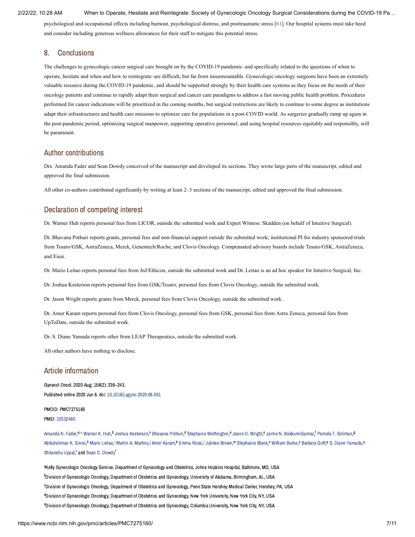psychological and occupational effects including burnout, psychological distress, and posttraumatic stress [[61\]](#page-12-5). Our hospital systems must take heed and consider including generous wellness allowances for their staff to mitigate this potential stress.

# 8. Conclusions

The challenges to gynecologic cancer surgical care brought on by the COVID-19 pandemic–and specifically related to the questions of when to operate, hesitate and when and how to reintegrate–are difficult, but far from insurmountable. Gynecologic oncology surgeons have been an extremely valuable resource during the COVID-19 pandemic, and should be supported strongly by their health care systems as they focus on the needs of their oncology patients and continue to rapidly adapt their surgical and cancer care paradigms to address a fast moving public health problem. Procedures performed for cancer indications will be prioritized in the coming months, but surgical restrictions are likely to continue to some degree as institutions adapt their infrastructures and health care missions to optimize care for populations in a post-COVID world. As surgeries gradually ramp up again in the post-pandemic period, optimizing surgical manpower, supporting operative personnel, and using hospital resources equitably and responsibly, will be paramount.

# Author contributions

Drs. Amanda Fader and Sean Dowdy conceived of the manuscript and developed its sections. They wrote large parts of the manuscript, edited and approved the final submission.

All other co-authors contributed significantly by writing at least 2–3 sections of the manuscript, edited and approved the final submission.

# Declaration of competing interest

Dr. Warner Huh reports personal fees from LICOR, outside the submitted work and Expert Witness: Skadden (on behalf of Intuitive Surgical).

Dr. Bhavana Pothuri reports grants, personal fees and non-financial support outside the submitted work; institutional PI for industry sponsored trials from Tesaro/GSK, AstraZeneca, Merck, Genentech/Roche, and Clovis Oncology. Compensated advisory boards include Tesaro/GSK, AstraZeneca, and Eisai.

Dr. Mario Leitao reports personal fees from JnJ/Ethicon, outside the submitted work and Dr. Leitao is an ad hoc speaker for Intuitive Surgical, Inc.

Dr. Joshua Kesterson reports personal fees from GSK/Tesaro, personal fees from Clovis Oncology, outside the submitted work.

Dr. Jason Wright reports grants from Merck, personal fees from Clovis Oncology, outside the submitted work.

Dr. Amer Karam reports personal fees from Clovis Oncology, personal fees from GSK, personal fees from Astra Zeneca, personal fees from UpToDate, outside the submitted work.

Dr. S. Diane Yamada reports other from LEAP Therapeutics, outside the submitted work.

All other authors have nothing to disclose.

### Article information

Gynecol Oncol. 2020 Aug; 158(2): 236–243. Published online 2020 Jun 6. doi: [10.1016/j.ygyno.2020.06.001](https://dx.doi.org/10.1016%2Fj.ygyno.2020.06.001)

### PMCID: PMC7275160 PMID: [32532460](https://www.ncbi.nlm.nih.gov/pubmed/32532460)

[Amanda](https://www.ncbi.nlm.nih.gov/pubmed/?term=Fader%20AN%5BAuthor%5D&cauthor=true&cauthor_uid=32532460) N. Fader,<sup>a,</sup>\* [Warner](https://www.ncbi.nlm.nih.gov/pubmed/?term=Huh%20WK%5BAuthor%5D&cauthor=true&cauthor_uid=32532460) K. Huh,<sup>b</sup> Joshua [Kesterson,](https://www.ncbi.nlm.nih.gov/pubmed/?term=Kesterson%20J%5BAuthor%5D&cauthor=true&cauthor_uid=32532460)<sup>c</sup> [Bhavana](https://www.ncbi.nlm.nih.gov/pubmed/?term=Pothuri%20B%5BAuthor%5D&cauthor=true&cauthor_uid=32532460) Pothuri,<sup>d</sup> Stephanie [Wethington](https://www.ncbi.nlm.nih.gov/pubmed/?term=Wethington%20S%5BAuthor%5D&cauthor=true&cauthor_uid=32532460),<sup>a</sup> Jason D. [Wright,](https://www.ncbi.nlm.nih.gov/pubmed/?term=Wright%20JD%5BAuthor%5D&cauthor=true&cauthor_uid=32532460)<sup>e</sup> Jamie N. [Bakkum-Gamez,](https://www.ncbi.nlm.nih.gov/pubmed/?term=Bakkum-Gamez%20JN%5BAuthor%5D&cauthor=true&cauthor_uid=32532460)<sup>f</sup> Pamela T. [Soliman](https://www.ncbi.nlm.nih.gov/pubmed/?term=Soliman%20PT%5BAuthor%5D&cauthor=true&cauthor_uid=32532460),<sup>g</sup> [Abdulrahman](https://www.ncbi.nlm.nih.gov/pubmed/?term=Sinno%20AK%5BAuthor%5D&cauthor=true&cauthor_uid=32532460) K. Sinno,<sup>h</sup> Mario [Leitao](https://www.ncbi.nlm.nih.gov/pubmed/?term=Leitao%20M%5BAuthor%5D&cauthor=true&cauthor_uid=32532460),<sup>i</sup> Martin A. Martino.<sup>j</sup> Amer [Karam](https://www.ncbi.nlm.nih.gov/pubmed/?term=Karam%20A%5BAuthor%5D&cauthor=true&cauthor_uid=32532460),<sup>k</sup> [Emma](https://www.ncbi.nlm.nih.gov/pubmed/?term=Rossi%20E%5BAuthor%5D&cauthor=true&cauthor_uid=32532460) Rossi, [Jubilee](https://www.ncbi.nlm.nih.gov/pubmed/?term=Brown%20J%5BAuthor%5D&cauthor=true&cauthor_uid=32532460) Brown,<sup>m</sup> [Stephanie](https://www.ncbi.nlm.nih.gov/pubmed/?term=Blank%20S%5BAuthor%5D&cauthor=true&cauthor_uid=32532460) Blank,<sup>n</sup> [William](https://www.ncbi.nlm.nih.gov/pubmed/?term=Burke%20W%5BAuthor%5D&cauthor=true&cauthor_uid=32532460) Burke,<sup>o</sup> [Barbara](https://www.ncbi.nlm.nih.gov/pubmed/?term=Goff%20B%5BAuthor%5D&cauthor=true&cauthor_uid=32532460) Goff,<sup>p</sup> S. Diane [Yamada](https://www.ncbi.nlm.nih.gov/pubmed/?term=Yamada%20SD%5BAuthor%5D&cauthor=true&cauthor_uid=32532460),<sup>q</sup> [Shitanshu](https://www.ncbi.nlm.nih.gov/pubmed/?term=Uppal%20S%5BAuthor%5D&cauthor=true&cauthor_uid=32532460) Uppal,<sup>r</sup> and Sean C. [Dowdy](https://www.ncbi.nlm.nih.gov/pubmed/?term=Dowdy%20SC%5BAuthor%5D&cauthor=true&cauthor_uid=32532460)<sup>f</sup>

akelly Gynecologic Oncology Service, Department of Gynecology and Obstetrics, Johns Hopkins Hospital, Baltimore, MD, USA <sup>b</sup>Division of Gynecologic Oncology, Department of Obstetrics and Gynecology, University of Alabama, Birmingham, AL, USA <sup>c</sup>Division of Gynecologic Oncology, Department of Obstetrics and Gynecology, Penn State Hershey Medical Center, Hershey, PA, USA <sup>d</sup>Division of Gynecologic Oncology, Department of Obstetrics and Gynecology, New York University, New York City, NY, USA <sup>e</sup>Division of Gynecologic Oncology, Department of Obstetrics and Gynecology, Columbia University, New York City, NY, USA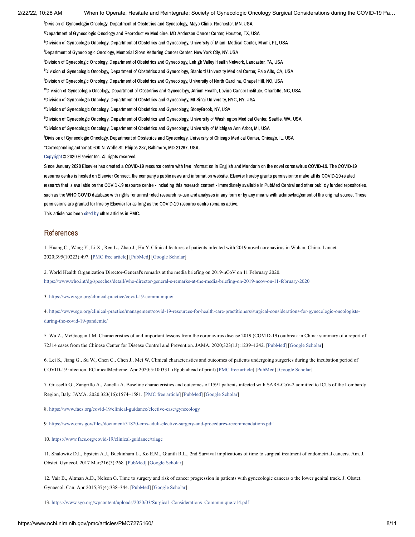<sup>f</sup>Division of Gynecologic Oncology, Department of Obstetrics and Gynecology, Mayo Clinic, Rochester, MN, USA <sup>g</sup>Department of Gynecologic Oncology and Reproductive Medicine, MD Anderson Cancer Center, Houston, TX, USA hDivision of Gynecologic Oncology, Department of Obstetrics and Gynecology, University of Miami Medical Center, Miami, FL, USA <sup>i</sup>Department of Gynecologic Oncology, Memorial Sloan Kettering Cancer Center, New York City, NY, USA .<br>Division of Gynecologic Oncology, Department of Obstetrics and Gynecology, Lehigh Valley Health Network, Lancaster, PA, USA kDivision of Gynecologic Oncology, Department of Obstetrics and Gynecology, Stanford University Medical Center, Palo Alto, CA, USA <sup>I</sup>Division of Gynecologic Oncology, Department of Obstetrics and Gynecology, University of North Carolina, Chapel Hill, NC, USA mDivision of Gynecologic Oncology, Department of Obstetrics and Gynecology, Atrium Health, Levine Cancer Institute, Charlotte, NC, USA "Division of Gynecologic Oncology, Department of Obstetrics and Gynecology, Mt Sinai University, NYC, NY, USA <sup>o</sup>Division of Gynecologic Oncology, Department of Obstetrics and Gynecology, StonyBrook, NY, USA PDivision of Gynecologic Oncology, Department of Obstetrics and Gynecology, University of Washington Medical Center, Seattle, WA, USA <sup>q</sup>Division of Gynecologic Oncology, Department of Obstetrics and Gynecology, University of Michigan Ann Arbor, MI, USA <sup>r</sup>Division of Gynecologic Oncology, Department of Obstetrics and Gynecology, University of Chicago Medical Center, Chicago, IL, USA Corresponding author at: 600 N. Wolfe St, Phipps 287, Baltimore, MD 21287, USA. ⁎[Copyright](https://www.ncbi.nlm.nih.gov/pmc/about/copyright/) © 2020 Elsevier Inc. All rights reserved.

Since January 2020 Elsevier has created a COVID-19 resource centre with free information in English and Mandarin on the novel coronavirus COVID-19. The COVID-19 resource centre is hosted on Elsevier Connect, the company's public news and information website. Elsevier hereby grants permission to make all its COVID-19-related research that is available on the COVID-19 resource centre - including this research content - immediately available in PubMed Central and other publicly funded repositories, such as the WHO COVID database with rights for unrestricted research re-use and analyses in any form or by any means with acknowledgement of the original source. These permissions are granted for free by Elsevier for as long as the COVID-19 resource centre remains active.

This article has been [cited](https://www.ncbi.nlm.nih.gov/pmc/articles/PMC7275160/citedby/) by other articles in PMC.

### References

<span id="page-9-0"></span>1. Huang C., Wang Y., Li X., Ren L., Zhao J., Hu Y. Clinical features of patients infected with 2019 novel coronavirus in Wuhan, China. Lancet. 2020;395(10223):497. [[PMC free article](https://www.ncbi.nlm.nih.gov/pmc/articles/PMC7159299/?report=reader)] [\[PubMed\]](https://www.ncbi.nlm.nih.gov/pubmed/31986264) [[Google Scholar\]](https://scholar.google.com/scholar_lookup?journal=Lancet&title=Clinical+features+of+patients+infected+with+2019+novel+coronavirus+in+Wuhan,+China&author=C.+Huang&author=Y.+Wang&author=X.+Li&author=L.+Ren&author=J.+Zhao&volume=395&issue=10223&publication_year=2020&pages=497&)

<span id="page-9-1"></span>2. World Health Organization Director-General's remarks at the media briefing on 2019-nCoV on 11 February 2020. <https://www.who.int/dg/speeches/detail/who-director-general-s-remarks-at-the-media-briefing-on-2019-ncov-on-11-february-2020>

<span id="page-9-2"></span>3.<https://www.sgo.org/clinical-practice/covid-19-communique/>

<span id="page-9-3"></span>[4. https://www.sgo.org/clinical-practice/management/covid-19-resources-for-health-care-practitioners/surgical-considerations-for-gynecologic-oncologists](https://www.sgo.org/clinical-practice/management/covid-19-resources-for-health-care-practitioners/surgical-considerations-for-gynecologic-oncologists-during-the-covid-19-pandemic/)during-the-covid-19-pandemic/

<span id="page-9-4"></span>5. Wu Z., McGoogan J.M. Characteristics of and important lessons from the coronavirus disease 2019 (COVID-19) outbreak in China: summary of a report of 72314 cases from the Chinese Center for Disease Control and Prevention. JAMA. 2020;323(13):1239–1242. [\[PubMed](https://www.ncbi.nlm.nih.gov/pubmed/32091533)] [[Google Scholar](https://scholar.google.com/scholar_lookup?journal=JAMA&title=Characteristics+of+and+important+lessons+from+the+coronavirus+disease+2019+(COVID-19)+outbreak+in+China:+summary+of+a+report+of+72314+cases+from+the+Chinese+Center+for+Disease+Control+and+Prevention&author=Z.+Wu&author=J.M.+McGoogan&volume=323&issue=13&publication_year=2020&pages=1239-1242&)]

<span id="page-9-5"></span>6. Lei S., Jiang G., Su W., Chen C., Chen J., Mei W. Clinical characteristics and outcomes of patients undergoing surgeries during the incubation period of COVID-19 infection. EClinicalMedicine. Apr 2020;5:100331. (Epub ahead of print) [[PMC free article](https://www.ncbi.nlm.nih.gov/pmc/articles/PMC7128617/?report=reader)] [[PubMed](https://www.ncbi.nlm.nih.gov/pubmed/32292899)] [[Google Scholar\]](https://scholar.google.com/scholar_lookup?journal=EClinicalMedicine&title=Clinical+characteristics+and+outcomes+of+patients+undergoing+surgeries+during+the+incubation+period+of+COVID-19+infection&author=S.+Lei&author=G.+Jiang&author=W.+Su&author=C.+Chen&author=J.+Chen&volume=5&publication_year=Apr+2020&pages=100331&)

<span id="page-9-6"></span>7. Grasselli G., Zangrillo A., Zanella A. Baseline characteristics and outcomes of 1591 patients infected with SARS-CoV-2 admitted to ICUs of the Lombardy Region, Italy. JAMA. 2020;323(16):1574–1581. [\[PMC free article](https://www.ncbi.nlm.nih.gov/pmc/articles/PMC7136855/?report=reader)] [\[PubMed\]](https://www.ncbi.nlm.nih.gov/pubmed/32250385) [[Google Scholar\]](https://scholar.google.com/scholar_lookup?journal=JAMA&title=Baseline+characteristics+and+outcomes+of+1591+patients+infected+with+SARS-CoV-2+admitted+to+ICUs+of+the+Lombardy+Region,+Italy&author=G.+Grasselli&author=A.+Zangrillo&author=A.+Zanella&volume=323&issue=16&publication_year=2020&pages=1574-1581&)

<span id="page-9-7"></span>8.<https://www.facs.org/covid-19/clinical-guidance/elective-case/gynecology>

<span id="page-9-8"></span>9.<https://www.cms.gov/files/document/31820-cms-adult-elective-surgery-and-procedures-recommendations.pdf>

<span id="page-9-9"></span>10.<https://www.facs.org/covid-19/clinical-guidance/triage>

<span id="page-9-10"></span>11. Shalowitz D.I., Epstein A.J., Buckinham L., Ko E.M., Giuntli R.L., 2nd Survival implications of time to surgical treatment of endometrial cancers. Am. J. Obstet. Gynecol. 2017 Mar;216(3):268. [[PubMed\]](https://www.ncbi.nlm.nih.gov/pubmed/27939327) [[Google Scholar\]](https://scholar.google.com/scholar_lookup?journal=Am.+J.+Obstet.+Gynecol.&title=Survival+implications+of+time+to+surgical+treatment+of+endometrial+cancers&author=D.I.+Shalowitz&author=A.J.+Epstein&author=L.+Buckinham&author=E.M.+Ko&author=R.L.+Giuntli&volume=216&issue=3&publication_year=2017+Mar&pages=268&)

<span id="page-9-11"></span>12. Vair B., Altman A.D., Nelson G. Time to surgery and risk of cancer progression in patients with gynecologic cancers o the lower genital track. J. Obstet. Gynaecol. Can. Apr 2015;37(4):338–344. [[PubMed](https://www.ncbi.nlm.nih.gov/pubmed/26001687)] [\[Google Scholar\]](https://scholar.google.com/scholar_lookup?journal=J.+Obstet.+Gynaecol.+Can.&title=Time+to+surgery+and+risk+of+cancer+progression+in+patients+with+gynecologic+cancers+o+the+lower+genital+track&author=B.+Vair&author=A.D.+Altman&author=G.+Nelson&volume=37&issue=4&publication_year=Apr+2015&pages=338-344&)

<span id="page-9-12"></span>13. [https://www.sgo.org/wpcontent/uploads/2020/03/Surgical\\_Considerations\\_Communique.v14.pdf](https://www.sgo.org/wpcontent/uploads/2020/03/Surgical_Considerations_Communique.v14.pdf)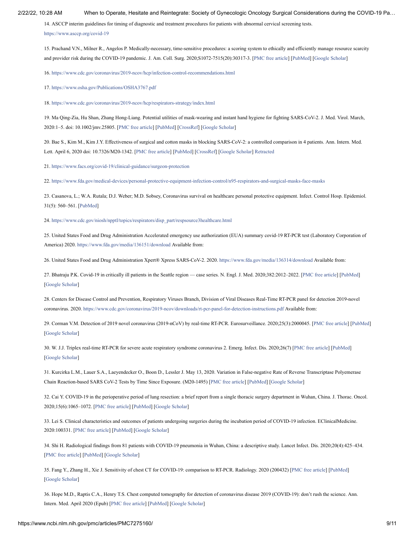<span id="page-10-0"></span>14. ASCCP interim guidelines for timing of diagnostic and treatment procedures for patients with abnormal cervical screening tests.

<https://www.asccp.org/covid-19>

<span id="page-10-1"></span>15. Prachand V.N., Milner R., Angelos P. Medically-necessary, time-sensitive procedures: a scoring system to ethically and efficiently manage resource scarcity and provider risk during the COVID-19 pandemic. J. Am. Coll. Surg. 2020;S1072-7515(20):30317-3. [[PMC free article\]](https://www.ncbi.nlm.nih.gov/pmc/articles/PMC7195575/?report=reader) [[PubMed](https://www.ncbi.nlm.nih.gov/pubmed/32278725)] [[Google Scholar](https://scholar.google.com/scholar_lookup?journal=J.+Am.+Coll.+Surg.&title=Medically-necessary,+time-sensitive+procedures:+a+scoring+system+to+ethically+and+efficiently+manage+resource+scarcity+and+provider+risk+during+the+COVID-19+pandemic&author=V.N.+Prachand&author=R.+Milner&author=P.+Angelos&volume=S1072-7515&issue=20&publication_year=2020&pages=30317-3&)]

<span id="page-10-2"></span>16.<https://www.cdc.gov/coronavirus/2019-ncov/hcp/infection-control-recommendations.html>

<span id="page-10-3"></span>17.<https://www.osha.gov/Publications/OSHA3767.pdf>

<span id="page-10-4"></span>18.<https://www.cdc.gov/coronavirus/2019-ncov/hcp/respirators-strategy/index.html>

<span id="page-10-5"></span>19. Ma Qing-Zia, Hu Shan, Zhang Hong-Liang. Potential utilities of mask-wearing and instant hand hygiene for fighting SARS-CoV-2. J. Med. Virol. March, 2020:1–5. doi: 10.1002/jmv.25805. [\[PMC free article](https://www.ncbi.nlm.nih.gov/pmc/articles/PMC7228401/?report=reader)] [[PubMed\]](https://www.ncbi.nlm.nih.gov/pubmed/32232986) [\[CrossRef](https://dx.doi.org/10.1002%2Fjmv.25805)] [\[Google Scholar\]](https://scholar.google.com/scholar_lookup?journal=J.+Med.+Virol.&title=Potential+utilities+of+mask-wearing+and+instant+hand+hygiene+for+fighting+SARS-CoV-2&author=Qing-Zia+Ma&author=Shan+Hu&author=Hong-Liang+Zhang&publication_year=March,+2020&pages=1-5&doi=10.1002/jmv.25805&)

<span id="page-10-6"></span>20. Bae S., Kim M., Kim J.Y. Effectiveness of surgical and cotton masks in blocking SARS-CoV-2: a controlled comparison in 4 patients. Ann. Intern. Med. Lett. April 6, 2020 doi: 10.7326/M20-1342. [[PMC free article\]](https://www.ncbi.nlm.nih.gov/pmc/articles/PMC7153751/?report=reader) [[PubMed](https://www.ncbi.nlm.nih.gov/pubmed/32251511)] [[CrossRef\]](https://dx.doi.org/10.7326%2FM20-1342) [\[Google Scholar\]](https://scholar.google.com/scholar_lookup?journal=Ann.+Intern.+Med.+Lett.&title=Effectiveness+of+surgical+and+cotton+masks+in+blocking+SARS-CoV-2:+a+controlled+comparison+in+4+patients&author=S.+Bae&author=M.+Kim&author=J.Y.+Kim&publication_year=April+6,+2020&doi=10.7326/M20-1342&) [Retracted](https://www.ncbi.nlm.nih.gov/pmc/articles/PMC7273461/?report=reader)

<span id="page-10-7"></span>21.<https://www.facs.org/covid-19/clinical-guidance/surgeon-protection>

<span id="page-10-8"></span>22.<https://www.fda.gov/medical-devices/personal-protective-equipment-infection-control/n95-respirators-and-surgical-masks-face-masks>

<span id="page-10-9"></span>23. Casanova, L.; W.A. Rutala; D.J. Weber; M.D. Sobsey, Coronavirus survival on healthcare personal protective equipment. Infect. Control Hosp. Epidemiol. 31(5): 560–561. [[PubMed](https://www.ncbi.nlm.nih.gov/pubmed/20350196)]

<span id="page-10-10"></span>24. [https://www.cdc.gov/niosh/npptl/topics/respirators/disp\\_part/respsource3healthcare.html](https://www.cdc.gov/niosh/npptl/topics/respirators/disp_part/respsource3healthcare.html)

<span id="page-10-11"></span>25. United States Food and Drug Administration Accelerated emergency use authorization (EUA) summary covid-19 RT-PCR test (Laboratory Corporation of America) 2020. <https://www.fda.gov/media/136151/download>Available from:

<span id="page-10-12"></span>26. United States Food and Drug Administration Xpert® Xpress SARS-CoV-2. 2020. <https://www.fda.gov/media/136314/download>Available from:

<span id="page-10-13"></span>27. Bhatraju P.K. Covid-19 in critically ill patients in the Seattle region — case series. N. Engl. J. Med. 2020;382:2012–2022. [[PMC free article\]](https://www.ncbi.nlm.nih.gov/pmc/articles/PMC7143164/?report=reader) [[PubMed](https://www.ncbi.nlm.nih.gov/pubmed/32227758)] [\[Google Scholar](https://scholar.google.com/scholar_lookup?journal=N.+Engl.+J.+Med.&title=Covid-19+in+critically+ill+patients+in+the+Seattle+region+%E2%80%94+case+series&author=P.K.+Bhatraju&volume=382&publication_year=2020&pages=2012-2022&)]

<span id="page-10-14"></span>28. Centers for Disease Control and Prevention, Respiratory Viruses Branch, Division of Viral Diseases Real-Time RT-PCR panel for detection 2019-novel coronavirus. 2020. <https://www.cdc.gov/coronavirus/2019-ncov/downloads/rt-pcr-panel-for-detection-instructions.pdf>Available from:

<span id="page-10-15"></span>29. Corman V.M. Detection of 2019 novel coronavirus (2019-nCoV) by real-time RT-PCR. Eurosurveillance. 2020;25(3):2000045. [\[PMC free article\]](https://www.ncbi.nlm.nih.gov/pmc/articles/PMC6988269/?report=reader) [[PubMed](https://www.ncbi.nlm.nih.gov/pubmed/31992387)] [\[Google Scholar](https://scholar.google.com/scholar_lookup?journal=Eurosurveillance&title=Detection+of+2019+novel+coronavirus+(2019-nCoV)+by+real-time+RT-PCR&author=V.M.+Corman&volume=25&issue=3&publication_year=2020&pages=2000045&)]

<span id="page-10-16"></span>30. W. J.J. Triplex real-time RT-PCR for severe acute respiratory syndrome coronavirus 2. Emerg. Infect. Dis. 2020;26(7) [\[PMC free article](https://www.ncbi.nlm.nih.gov/pmc/articles/PMC7323516/?report=reader)] [[PubMed](https://www.ncbi.nlm.nih.gov/pubmed/32294051)] [\[Google Scholar](https://scholar.google.com/scholar_lookup?journal=Emerg.+Infect.+Dis.&title=Triplex+real-time+RT-PCR+for+severe+acute+respiratory+syndrome+coronavirus+2&author=J.J.+W.&volume=26&issue=7&publication_year=2020&)]

<span id="page-10-17"></span>31. Kurcirka L.M., Lauer S.A., Laeyendecker O., Boon D., Lessler J. May 13, 2020. Variation in False-negative Rate of Reverse Transcriptase Polyemerase Chain Reaction-based SARS CoV-2 Tests by Time Since Exposure. (M20-1495) [[PMC free article](https://www.ncbi.nlm.nih.gov/pmc/articles/PMC7240870/?report=reader)] [[PubMed](https://www.ncbi.nlm.nih.gov/pubmed/32422057)] [[Google Scholar\]](https://scholar.google.com/scholar?q=Kurcirka+L.M.+Lauer+S.A.+Laeyendecker+O.+Boon+D.+Lessler+J.+Variation+in+False-negative+Rate+of+Reverse+Transcriptase+Polyemerase+Chain+Reaction-based+SARS+CoV-2+Tests+by+Time+Since+Exposure+May+13,+2020+(M20-1495)+)

<span id="page-10-18"></span>32. Cai Y. COVID-19 in the perioperative period of lung resection: a brief report from a single thoracic surgery department in Wuhan, China. J. Thorac. Oncol. 2020;15(6):1065–1072. [[PMC free article](https://www.ncbi.nlm.nih.gov/pmc/articles/PMC7194109/?report=reader)] [\[PubMed](https://www.ncbi.nlm.nih.gov/pubmed/32289516)] [\[Google Scholar](https://scholar.google.com/scholar_lookup?journal=J.+Thorac.+Oncol.&title=COVID-19+in+the+perioperative+period+of+lung+resection:+a+brief+report+from+a+single+thoracic+surgery+department+in+Wuhan,+China&author=Y.+Cai&volume=15&issue=6&publication_year=2020&pages=1065-1072&)]

<span id="page-10-19"></span>33. Lei S. Clinical characteristics and outcomes of patients undergoing surgeries during the incubation period of COVID-19 infection. EClinicalMedicine. 2020:100331. [[PMC free article\]](https://www.ncbi.nlm.nih.gov/pmc/articles/PMC7128617/?report=reader) [[PubMed](https://www.ncbi.nlm.nih.gov/pubmed/32292899)] [[Google Scholar](https://scholar.google.com/scholar_lookup?journal=EClinicalMedicine&title=Clinical+characteristics+and+outcomes+of+patients+undergoing+surgeries+during+the+incubation+period+of+COVID-19+infection&author=S.+Lei&publication_year=2020&pages=100331&)]

<span id="page-10-20"></span>34. Shi H. Radiological findings from 81 patients with COVID-19 pneumonia in Wuhan, China: a descriptive study. Lancet Infect. Dis. 2020;20(4):425–434. [\[PMC free article\]](https://www.ncbi.nlm.nih.gov/pmc/articles/PMC7159053/?report=reader) [\[PubMed\]](https://www.ncbi.nlm.nih.gov/pubmed/32105637) [\[Google Scholar\]](https://scholar.google.com/scholar_lookup?journal=Lancet+Infect.+Dis.&title=Radiological+findings+from+81+patients+with+COVID-19+pneumonia+in+Wuhan,+China:+a+descriptive+study&author=H.+Shi&volume=20&issue=4&publication_year=2020&pages=425-434&)

<span id="page-10-21"></span>35. Fang Y., Zhang H., Xie J. Sensitivity of chest CT for COVID-19: comparison to RT-PCR. Radiology. 2020 (200432) [\[PMC free article](https://www.ncbi.nlm.nih.gov/pmc/articles/PMC7233365/?report=reader)] [\[PubMed\]](https://www.ncbi.nlm.nih.gov/pubmed/32073353) [\[Google Scholar](https://scholar.google.com/scholar_lookup?journal=Radiology&title=Sensitivity+of+chest+CT+for+COVID-19:+comparison+to+RT-PCR&author=Y.+Fang&author=H.+Zhang&author=J.+Xie&publication_year=2020&)]

<span id="page-10-22"></span>36. Hope M.D., Raptis C.A., Henry T.S. Chest computed tomography for detection of coronavirus disease 2019 (COVID-19): don't rush the science. Ann. Intern. Med. April 2020 (Epub) [[PMC free article\]](https://www.ncbi.nlm.nih.gov/pmc/articles/PMC7147341/?report=reader) [[PubMed](https://www.ncbi.nlm.nih.gov/pubmed/32267912)] [\[Google Scholar\]](https://scholar.google.com/scholar_lookup?journal=Ann.+Intern.+Med.&title=Chest+computed+tomography+for+detection+of+coronavirus+disease+2019+(COVID-19):+don%E2%80%99t+rush+the+science&author=M.D.+Hope&author=C.A.+Raptis&author=T.S.+Henry&publication_year=April+2020&)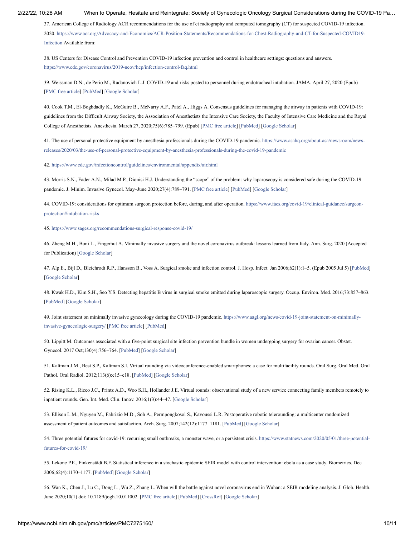<span id="page-11-0"></span>37. American College of Radiology ACR recommendations for the use of ct radiography and computed tomography (CT) for suspected COVID-19 infection. [2020. https://www.acr.org/Advocacy-and-Economics/ACR-Position-Statements/Recommendations-for-Chest-Radiography-and-CT-for-Suspected-COVID19-](https://www.acr.org/Advocacy-and-Economics/ACR-Position-Statements/Recommendations-for-Chest-Radiography-and-CT-for-Suspected-COVID19-Infection) Infection Available from:

<span id="page-11-1"></span>38. US Centers for Disease Control and Prevention COVID-19 infection prevention and control in healthcare settings: questions and answers. <https://www.cdc.gov/coronavirus/2019-ncov/hcp/infection-control-faq.html>

<span id="page-11-2"></span>39. Weissman D.N., de Perio M., Radanovich L.J. COVID-19 and risks posted to personnel during endotracheal intubation. JAMA. April 27, 2020 (Epub) [\[PMC free article\]](https://www.ncbi.nlm.nih.gov/pmc/articles/PMC7484167/?report=reader) [\[PubMed\]](https://www.ncbi.nlm.nih.gov/pubmed/32338710) [\[Google Scholar\]](https://scholar.google.com/scholar_lookup?journal=JAMA&title=COVID-19+and+risks+posted+to+personnel+during+endotracheal+intubation&author=D.N.+Weissman&author=M.+de+Perio&author=L.J.+Radanovich&publication_year=April+27,+2020&)

<span id="page-11-3"></span>40. Cook T.M., El-Boghdadly K., McGuire B., McNarry A.F., Patel A., Higgs A. Consensus guidelines for managing the airway in patients with COVID-19: guidelines from the Difficult Airway Society, the Association of Anesthetists the Intensive Care Society, the Faculty of Intensive Care Medicine and the Royal College of Anesthetists. Anesthesia. March 27, 2020;75(6):785–799. (Epub) [[PMC free article](https://www.ncbi.nlm.nih.gov/pmc/articles/PMC7383579/?report=reader)] [\[PubMed\]](https://www.ncbi.nlm.nih.gov/pubmed/32221970) [[Google Scholar\]](https://scholar.google.com/scholar_lookup?journal=Anesthesia&title=Consensus+guidelines+for+managing+the+airway+in+patients+with+COVID-19:+guidelines+from+the+Difficult+Airway+Society,+the+Association+of+Anesthetists+the+Intensive+Care+Society,+the+Faculty+of+Intensive+Care+Medicine+and+the+Royal+College+of+Anesthetists&author=T.M.+Cook&author=K.+El-Boghdadly&author=B.+McGuire&author=A.F.+McNarry&author=A.+Patel&volume=75&issue=6&publication_year=March+27,+2020&pages=785-799&)

<span id="page-11-4"></span>[41. The use of personal protective equipment by anesthesia professionals during the COVID-19 pandemic. https://www.asahq.org/about-asa/newsroom/news](https://www.asahq.org/about-asa/newsroom/news-releases/2020/03/the-use-of-personal-protective-equipment-by-anesthesia-professionals-during-the-covid-19-pandemic)releases/2020/03/the-use-of-personal-protective-equipment-by-anesthesia-professionals-during-the-covid-19-pandemic

<span id="page-11-12"></span>42.<https://www.cdc.gov/infectioncontrol/guidelines/environmental/appendix/air.html>

<span id="page-11-5"></span>43. Morris S.N., Fader A.N., Milad M.P., Dionisi H.J. Understanding the "scope" of the problem: why laparoscopy is considered safe during the COVID-19 pandemic. J. Minim. Invasive Gynecol. May–June 2020;27(4):789–791. [\[PMC free article](https://www.ncbi.nlm.nih.gov/pmc/articles/PMC7129473/?report=reader)] [\[PubMed\]](https://www.ncbi.nlm.nih.gov/pubmed/32247882) [[Google Scholar](https://scholar.google.com/scholar_lookup?journal=J.+Minim.+Invasive+Gynecol.&title=Understanding+the+%E2%80%9Cscope%E2%80%9D+of+the+problem:+why+laparoscopy+is+considered+safe+during+the+COVID-19+pandemic&author=S.N.+Morris&author=A.N.+Fader&author=M.P.+Milad&author=H.J.+Dionisi&volume=27&issue=4&publication_year=May%E2%80%93June+2020&pages=789-791&)]

<span id="page-11-6"></span>[44. COVID-19: considerations for optimum surgeon protection before, during, and after operation. https://www.facs.org/covid-19/clinical-guidance/surgeon](https://www.facs.org/covid-19/clinical-guidance/surgeon-protection#intubation-risks)protection#intubation-risks

<span id="page-11-7"></span>45.<https://www.sages.org/recommendations-surgical-response-covid-19/>

<span id="page-11-8"></span>46. Zheng M.H., Boni L., Fingerhut A. Minimally invasive surgery and the novel coronavirus outbreak: lessons learned from Italy. Ann. Surg. 2020 (Accepted for Publication) [[Google Scholar](https://scholar.google.com/scholar_lookup?journal=Ann.+Surg.&title=Minimally+invasive+surgery+and+the+novel+coronavirus+outbreak:+lessons+learned+from+Italy&author=M.H.+Zheng&author=L.+Boni&author=A.+Fingerhut&publication_year=2020&)]

<span id="page-11-9"></span>47. Alp E., Bijl D., Bleichrodt R.P., Hansson B., Voss A. Surgical smoke and infection control. J. Hosp. Infect. Jan 2006;62(1):1–5. (Epub 2005 Jul 5) [\[PubMed](https://www.ncbi.nlm.nih.gov/pubmed/16002179)] [\[Google Scholar](https://scholar.google.com/scholar_lookup?journal=J.+Hosp.+Infect.&title=Surgical+smoke+and+infection+control&author=E.+Alp&author=D.+Bijl&author=R.P.+Bleichrodt&author=B.+Hansson&author=A.+Voss&volume=62&issue=1&publication_year=Jan+2006&pages=1-5&)]

<span id="page-11-10"></span>48. Kwak H.D., Kim S.H., Seo Y.S. Detecting hepatitis B virus in surgical smoke emitted during laparoscopic surgery. Occup. Environ. Med. 2016;73:857–863. [\[PubMed\]](https://www.ncbi.nlm.nih.gov/pubmed/27484956) [[Google Scholar\]](https://scholar.google.com/scholar_lookup?journal=Occup.+Environ.+Med.&title=Detecting+hepatitis+B+virus+in+surgical+smoke+emitted+during+laparoscopic+surgery&author=H.D.+Kwak&author=S.H.+Kim&author=Y.S.+Seo&volume=73&publication_year=2016&pages=857-863&)

<span id="page-11-11"></span>[49. Joint statement on minimally invasive gynecology during the COVID-19 pandemic. https://www.aagl.org/news/covid-19-joint-statement-on-minimally](https://www.aagl.org/news/covid-19-joint-statement-on-minimally-invasive-gynecologic-surgery/)invasive-gynecologic-surgery/ [\[PMC free article](https://www.ncbi.nlm.nih.gov/pmc/articles/PMC7246048/?report=reader)] [\[PubMed\]](https://www.ncbi.nlm.nih.gov/pubmed/32461146)

<span id="page-11-13"></span>50. Lippitt M. Outcomes associated with a five-point surgical site infection prevention bundle in women undergoing surgery for ovarian cancer. Obstet. Gynecol. 2017 Oct;130(4):756–764. [\[PubMed\]](https://www.ncbi.nlm.nih.gov/pubmed/28885412) [\[Google Scholar\]](https://scholar.google.com/scholar_lookup?journal=Obstet.+Gynecol.&title=Outcomes+associated+with+a+five-point+surgical+site+infection+prevention+bundle+in+women+undergoing+surgery+for+ovarian+cancer&author=M.+Lippitt&volume=130&issue=4&publication_year=2017+Oct&pages=756-764&)

<span id="page-11-14"></span>51. Kaltman J.M., Best S.P., Kaltman S.I. Virtual rounding via videoconference-enabled smartphones: a case for multifacility rounds. Oral Surg. Oral Med. Oral Pathol. Oral Radiol. 2012;113(6):e15–e18. [[PubMed](https://www.ncbi.nlm.nih.gov/pubmed/22677024)] [[Google Scholar](https://scholar.google.com/scholar_lookup?journal=Oral+Surg.+Oral+Med.+Oral+Pathol.+Oral+Radiol.&title=Virtual+rounding+via+videoconference-enabled+smartphones:+a+case+for+multifacility+rounds&author=J.M.+Kaltman&author=S.P.+Best&author=S.I.+Kaltman&volume=113&issue=6&publication_year=2012&pages=e15-e18&)]

<span id="page-11-15"></span>52. Rising K.L., Ricco J.C., Printz A.D., Woo S.H., Hollander J.E. Virtual rounds: observational study of a new service connecting family members remotely to inpatient rounds. Gen. Int. Med. Clin. Innov. 2016;1(3):44–47. [\[Google Scholar](https://scholar.google.com/scholar_lookup?journal=Gen.+Int.+Med.+Clin.+Innov.&title=Virtual+rounds:+observational+study+of+a+new+service+connecting+family+members+remotely+to+inpatient+rounds&author=K.L.+Rising&author=J.C.+Ricco&author=A.D.+Printz&author=S.H.+Woo&author=J.E.+Hollander&volume=1&issue=3&publication_year=2016&pages=44-47&)]

<span id="page-11-16"></span>53. Ellison L.M., Nguyen M., Fabrizio M.D., Soh A., Permpongkosol S., Kavoussi L.R. Postoperative robotic telerounding: a multicenter randomized assessment of patient outcomes and satisfaction. Arch. Surg. 2007;142(12):1177–1181. [\[PubMed](https://www.ncbi.nlm.nih.gov/pubmed/18086984)] [[Google Scholar\]](https://scholar.google.com/scholar_lookup?journal=Arch.+Surg.&title=Postoperative+robotic+telerounding:+a+multicenter+randomized+assessment+of+patient+outcomes+and+satisfaction&author=L.M.+Ellison&author=M.+Nguyen&author=M.D.+Fabrizio&author=A.+Soh&author=S.+Permpongkosol&volume=142&issue=12&publication_year=2007&pages=1177-1181&)

<span id="page-11-17"></span>[54. Three potential futures for covid-19: recurring small outbreaks, a monster wave, or a persistent crisis. https://www.statnews.com/2020/05/01/three-potential](https://www.statnews.com/2020/05/01/three-potential-futures-for-covid-19/)futures-for-covid-19/

<span id="page-11-18"></span>55. Lekone P.E., Finkenstädt B.F. Statistical inference in a stochastic epidemic SEIR model with control intervention: ebola as a case study. Biometrics. Dec 2006;62(4):1170–1177. [[PubMed\]](https://www.ncbi.nlm.nih.gov/pubmed/17156292) [\[Google Scholar\]](https://scholar.google.com/scholar_lookup?journal=Biometrics&title=Statistical+inference+in+a+stochastic+epidemic+SEIR+model+with+control+intervention:+ebola+as+a+case+study&author=P.E.+Lekone&author=B.F.+Finkenst%C3%A4dt&volume=62&issue=4&publication_year=Dec+2006&pages=1170-1177&)

<span id="page-11-19"></span>56. Wan K., Chen J., Lu C., Dong L., Wu Z., Zhang L. When will the battle against novel coronavirus end in Wuhan: a SEIR modeling analysis. J. Glob. Health. June 2020;10(1) doi: 10.7189/jogh.10.011002. [[PMC free article](https://www.ncbi.nlm.nih.gov/pmc/articles/PMC7125416/?report=reader)] [[PubMed\]](https://www.ncbi.nlm.nih.gov/pubmed/32257174) [[CrossRef\]](https://dx.doi.org/10.7189%2Fjogh.10.011002) [[Google Scholar\]](https://scholar.google.com/scholar_lookup?journal=J.+Glob.+Health&title=When+will+the+battle+against+novel+coronavirus+end+in+Wuhan:+a+SEIR+modeling+analysis&author=K.+Wan&author=J.+Chen&author=C.+Lu&author=L.+Dong&author=Z.+Wu&volume=10&issue=1&publication_year=June+2020&doi=10.7189/jogh.10.011002&)